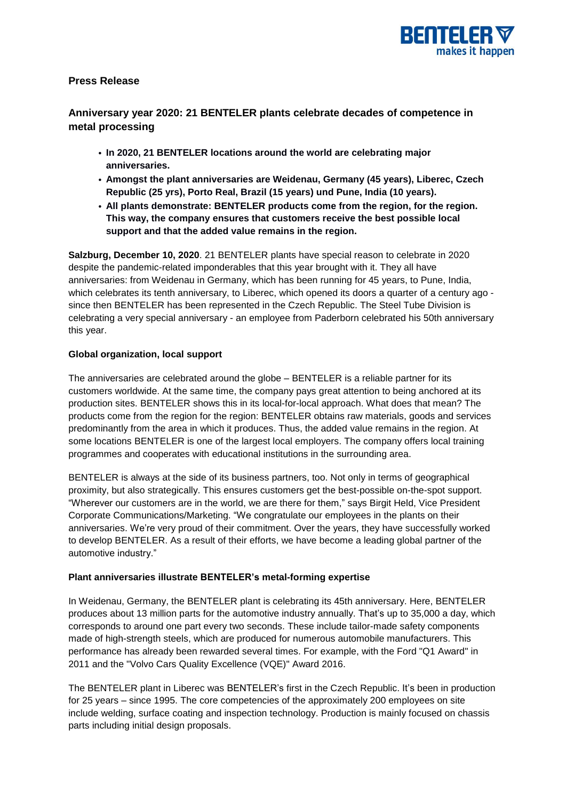

# **Press Release**

# **Anniversary year 2020: 21 BENTELER plants celebrate decades of competence in metal processing**

- **• In 2020, 21 BENTELER locations around the world are celebrating major anniversaries.**
- **• Amongst the plant anniversaries are Weidenau, Germany (45 years), Liberec, Czech Republic (25 yrs), Porto Real, Brazil (15 years) und Pune, India (10 years).**
- **• All plants demonstrate: BENTELER products come from the region, for the region. This way, the company ensures that customers receive the best possible local support and that the added value remains in the region.**

**Salzburg, December 10, 2020**. 21 BENTELER plants have special reason to celebrate in 2020 despite the pandemic-related imponderables that this year brought with it. They all have anniversaries: from Weidenau in Germany, which has been running for 45 years, to Pune, India, which celebrates its tenth anniversary, to Liberec, which opened its doors a quarter of a century ago since then BENTELER has been represented in the Czech Republic. The Steel Tube Division is celebrating a very special anniversary - an employee from Paderborn celebrated his 50th anniversary this year.

# **Global organization, local support**

The anniversaries are celebrated around the globe – BENTELER is a reliable partner for its customers worldwide. At the same time, the company pays great attention to being anchored at its production sites. BENTELER shows this in its local-for-local approach. What does that mean? The products come from the region for the region: BENTELER obtains raw materials, goods and services predominantly from the area in which it produces. Thus, the added value remains in the region. At some locations BENTELER is one of the largest local employers. The company offers local training programmes and cooperates with educational institutions in the surrounding area.

BENTELER is always at the side of its business partners, too. Not only in terms of geographical proximity, but also strategically. This ensures customers get the best-possible on-the-spot support. "Wherever our customers are in the world, we are there for them," says Birgit Held, Vice President Corporate Communications/Marketing. "We congratulate our employees in the plants on their anniversaries. We're very proud of their commitment. Over the years, they have successfully worked to develop BENTELER. As a result of their efforts, we have become a leading global partner of the automotive industry."

# **Plant anniversaries illustrate BENTELER's metal-forming expertise**

In Weidenau, Germany, the BENTELER plant is celebrating its 45th anniversary. Here, BENTELER produces about 13 million parts for the automotive industry annually. That's up to 35,000 a day, which corresponds to around one part every two seconds. These include tailor-made safety components made of high-strength steels, which are produced for numerous automobile manufacturers. This performance has already been rewarded several times. For example, with the Ford "Q1 Award" in 2011 and the "Volvo Cars Quality Excellence (VQE)" Award 2016.

The BENTELER plant in Liberec was BENTELER's first in the Czech Republic. It's been in production for 25 years – since 1995. The core competencies of the approximately 200 employees on site include welding, surface coating and inspection technology. Production is mainly focused on chassis parts including initial design proposals.